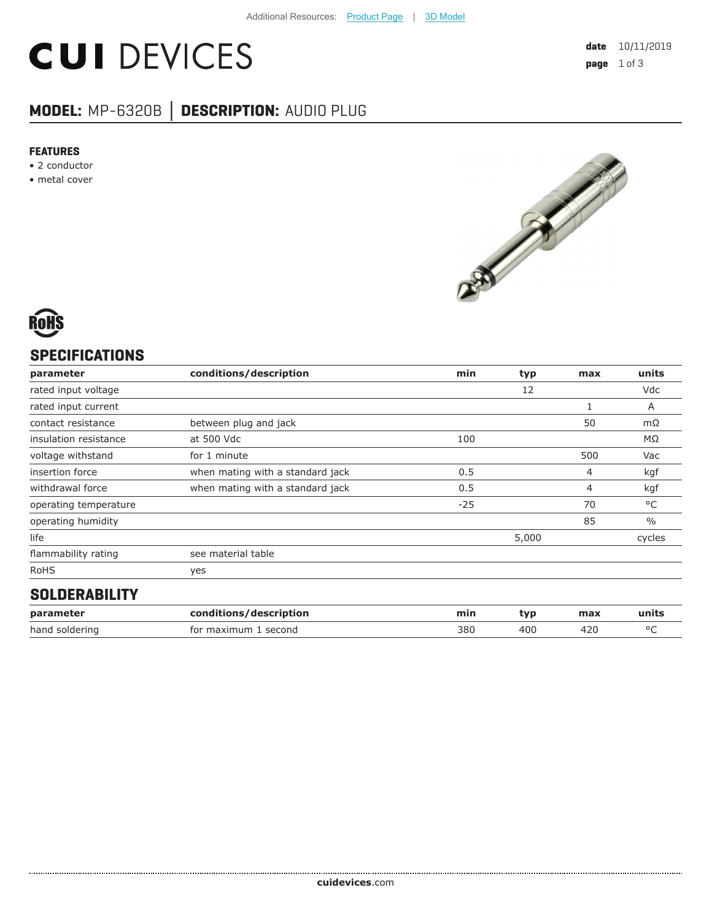# **CUI DEVICES**

## **MODEL:** MP-6320B **│ DESCRIPTION:** AUDIO PLUG

#### **FEATURES**

- 2 conductor
- metal cover





## **SPECIFICATIONS**

| parameter             | conditions/description           | min   | typ   | max | units         |
|-----------------------|----------------------------------|-------|-------|-----|---------------|
| rated input voltage   |                                  |       | 12    |     | Vdc           |
| rated input current   |                                  |       |       |     | A             |
| contact resistance    | between plug and jack            |       |       | 50  | mΩ            |
| insulation resistance | at 500 Vdc                       | 100   |       |     | MΩ            |
| voltage withstand     | for 1 minute                     |       |       | 500 | Vac           |
| insertion force       | when mating with a standard jack | 0.5   |       | 4   | kgf           |
| withdrawal force      | when mating with a standard jack | 0.5   |       | 4   | kgf           |
| operating temperature |                                  | $-25$ |       | 70  | °C            |
| operating humidity    |                                  |       |       | 85  | $\frac{0}{0}$ |
| life                  |                                  |       | 5,000 |     | cycles        |
| flammability rating   | see material table               |       |       |     |               |
| <b>RoHS</b>           | yes                              |       |       |     |               |
| COLDEDADILITY         |                                  |       |       |     |               |

#### **SOLDERABILITY**

| parameter      | conditions/description | mir. | tvr | max | units  |
|----------------|------------------------|------|-----|-----|--------|
| hand soldering | for maximum<br>second  | 380  | 400 | 42u | $\sim$ |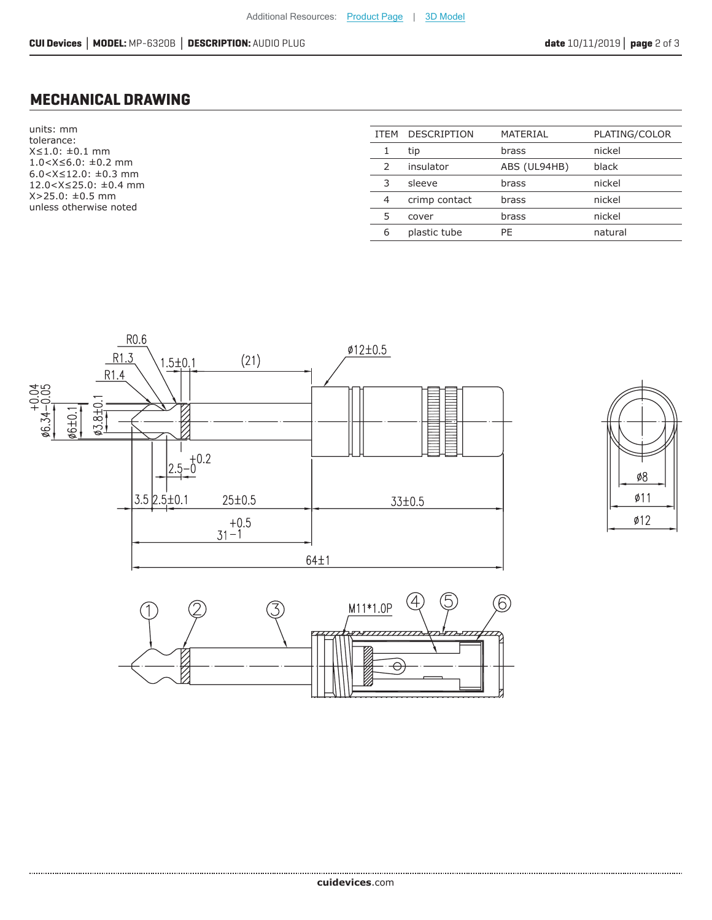### **MECHANICAL DRAWING**

units: mm tolerance: X≤1.0: ±0.1 mm 1.0<X≤6.0: ±0.2 mm 6.0<X≤12.0: ±0.3 mm 12.0<X≤25.0: ±0.4 mm X>25.0: ±0.5 mm unless otherwise noted

| ITEM          | <b>DESCRIPTION</b> | MATERIAL     | PLATING/COLOR |
|---------------|--------------------|--------------|---------------|
|               | tip                | brass        | nickel        |
| $\mathcal{L}$ | insulator          | ABS (UL94HB) | black         |
| 3             | sleeve             | brass        | nickel        |
| 4             | crimp contact      | brass        | nickel        |
| 5             | cover              | brass        | nickel        |
| 6             | plastic tube       | PF           | natural       |